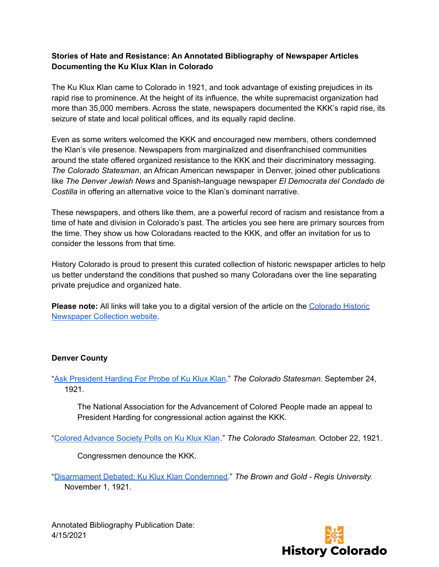## **Stories of Hate and Resistance: An Annotated Bibliography of Newspaper Articles Documenting the Ku Klux Klan in Colorado**

The Ku Klux Klan came to Colorado in 1921, and took advantage of existing prejudices in its rapid rise to prominence. At the height of its influence, the white supremacist organization had more than 35,000 members. Across the state, newspapers documented the KKK's rapid rise, its seizure of state and local political offices, and its equally rapid decline.

Even as some writers welcomed the KKK and encouraged new members, others condemned the Klan's vile presence. Newspapers from marginalized and disenfranchised communities around the state offered organized resistance to the KKK and their discriminatory messaging. *The Colorado Statesman*, an African American newspaper in Denver, joined other publications like *The Denver Jewish News* and Spanish-language newspaper *El Democrata del Condado de Costilla* in offering an alternative voice to the Klan's dominant narrative.

These newspapers, and others like them, are a powerful record of racism and resistance from a time of hate and division in Colorado's past. The articles you see here are primary sources from the time. They show us how Coloradans reacted to the KKK, and offer an invitation for us to consider the lessons from that time.

History Colorado is proud to present this curated collection of historic newspaper articles to help us better understand the conditions that pushed so many Coloradans over the line separating private prejudice and organized hate.

**Please note:** All links will take you to a digital version of the article on the [Colorado](https://www.coloradohistoricnewspapers.org/) Historic [Newspaper](https://www.coloradohistoricnewspapers.org/) Collection website.

## **Denver County**

"Ask [President](https://www.coloradohistoricnewspapers.org/?a=d&d=CDS19210924-01.2.28&srpos=1&e=-01-1919--01-1930--en-20--1--img-txIN%7ctxCO%7ctxTA-Ask+President+Harding+For+Probe+of+Ku+Klux+Klan-------0------) Harding For Probe of Ku Klux Klan." *The Colorado Statesman.* September 24, 1921.

The National Association for the Advancement of Colored People made an appeal to President Harding for congressional action against the KKK.

"Colored [Advance](https://www.coloradohistoricnewspapers.org/?a=d&d=CDS19211022-01.2.5&srpos=1&e=-------en-20--1--img-txIN%7ctxCO%7ctxTA-Colored+Advance+Society+Polls+on+Ku+Klux+Klan+-------0------) Society Polls on Ku Klux Klan." *The Colorado Statesman.* October 22, 1921.

Congressmen denounce the KKK.

"[Disarmament](https://www.coloradohistoricnewspapers.org/?a=d&d=BAG19211101-01.2.21&srpos=1&e=-01-1919--01-1930--en-20--1--img-txIN%7ctxCO%7ctxTA-Disarmament+Debated%3b+Ku+Klux+Klan+Condemned+-------0------) Debated; Ku Klux Klan Condemned." *The Brown and Gold - Regis University.* November 1, 1921.

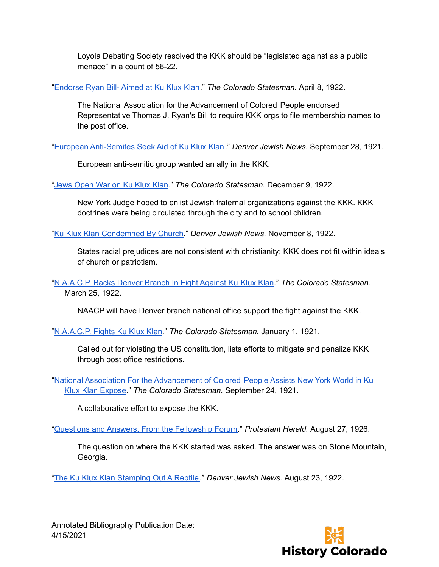Loyola Debating Society resolved the KKK should be "legislated against as a public menace" in a count of 56-22.

"[Endorse](https://www.coloradohistoricnewspapers.org/?a=d&d=CDS19220408-01.2.4&srpos=1&e=-01-1919--01-1930--en-20--1--img-txIN%7ctxCO%7ctxTA-Endorse+Ryan+Bill%252D+Aimed+at+Ku+Klux+Klan+-------0------) Ryan Bill- Aimed at Ku Klux Klan." *The Colorado Statesman.* April 8, 1922.

The National Association for the Advancement of Colored People endorsed Representative Thomas J. Ryan's Bill to require KKK orgs to file membership names to the post office.

"European [Anti-Semites](https://www.coloradohistoricnewspapers.org/?a=d&d=DJN19210928-01.2.42&srpos=1&e=-01-1919--01-1930--en-20--1--img-txIN%7ctxCO%7ctxTA-European+Anti%252DSemites+Seek+Aid+of+Ku+Klux+Klan-------0------) Seek Aid of Ku Klux Klan." *Denver Jewish News.* September 28, 1921.

European anti-semitic group wanted an ally in the KKK.

"Jews [Open](https://www.coloradohistoricnewspapers.org/?a=d&d=CDS19221209-01.2.10&srpos=1&e=-01-1919--01-1930--en-20--1--img-txIN%7ctxCO%7ctxTA-Jews+Open+War+on+Ku+Klux+Klan+-------0------) War on Ku Klux Klan." *The Colorado Statesman.* December 9, 1922.

New York Judge hoped to enlist Jewish fraternal organizations against the KKK. KKK doctrines were being circulated through the city and to school children.

"Ku Klux Klan [Condemned](https://www.coloradohistoricnewspapers.org/?a=d&d=DJN19221108-01.2.21&srpos=1&e=-01-1919--01-1930--en-20--1--img-txIN%7ctxCO%7ctxTA-Ku+Klux+Klan+Condemned+By+Church-------0------) By Church." *Denver Jewish News.* November 8, 1922.

States racial prejudices are not consistent with christianity; KKK does not fit within ideals of church or patriotism.

"[N.A.A.C.P.](https://www.coloradohistoricnewspapers.org/?a=d&d=CDS19220325-01.2.6&srpos=1&e=-01-1919--01-1930--en-20--1--img-txIN%7ctxCO%7ctxTA-Backs+Denver+Branch+In+Fight+Against+Ku+Klux+Klan-------0------) Backs Denver Branch In Fight Against Ku Klux Klan." *The Colorado Statesman.* March 25, 1922.

NAACP will have Denver branch national office support the fight against the KKK.

"[N.A.A.C.P.](https://www.coloradohistoricnewspapers.org/?a=d&d=CDS19210101-01.2.5&srpos=1&e=-01-1919--01-1930--en-20--1--img-txIN%7ctxCO%7ctxTA-N.A.A.C.P.+Fights+Ku+Klux+Klan-------0------) Fights Ku Klux Klan." *The Colorado Statesman.* January 1, 1921.

Called out for violating the US constitution, lists efforts to mitigate and penalize KKK through post office restrictions.

"National Association For the [Advancement](https://www.coloradohistoricnewspapers.org/?a=d&d=CDS19210924-01.2.2&srpos=1&e=-01-1919--01-1930--en-20--1--img-txIN%7ctxCO%7ctxTA-National+Association+For+IRE+Advancement+of+Colored+People+Assists+New+York+World+in+Ku+Klux+Klan+Expose+-------0------) of Colored People Assists New York World in Ku Klux Klan [Expose](https://www.coloradohistoricnewspapers.org/?a=d&d=CDS19210924-01.2.2&srpos=1&e=-01-1919--01-1930--en-20--1--img-txIN%7ctxCO%7ctxTA-National+Association+For+IRE+Advancement+of+Colored+People+Assists+New+York+World+in+Ku+Klux+Klan+Expose+-------0------)." *The Colorado Statesman.* September 24, 1921.

A collaborative effort to expose the KKK.

"Questions and Answers. From the [Fellowship](https://www.coloradohistoricnewspapers.org/?a=d&d=BBAHJFAF19260827-01.2.73&srpos=2&e=-01-1919--01-1930--en-20-BBAHJFAF-1--img-txIN%7ctxCO%7ctxTA-Questions+and+Answers.+From+the+Fellowship+Forum-------0------) Forum." *Protestant Herald.* August 27, 1926.

The question on where the KKK started was asked. The answer was on Stone Mountain, Georgia.

"The Ku Klux Klan [Stamping](https://www.coloradohistoricnewspapers.org/?a=d&d=DJN19220823-01.2.31&srpos=1&e=-01-1919--01-1930--en-20--1--img-txIN%7ctxCO%7ctxTA-+The+Ku+Klux+Klan+Stamping+Out+A+Reptile-------0------) Out A Reptile." *Denver Jewish News.* August 23, 1922.

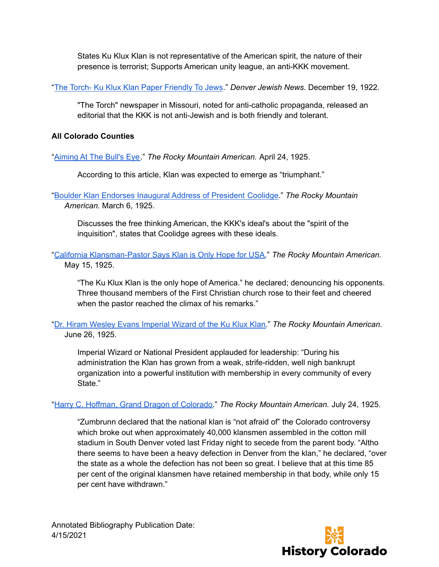States Ku Klux Klan is not representative of the American spirit, the nature of their presence is terrorist; Supports American unity league, an anti-KKK movement.

"The Torch- Ku Klux Klan Paper [Friendly](https://www.coloradohistoricnewspapers.org/?a=d&d=DJN19221213-01.2.39&srpos=1&e=-01-1919--01-1930--en-20--1--img-txIN%7ctxCO%7ctxTA-The+Torch%252D+Ku+Klux+Klan+Paper+Friendly+To+Jews-------0------) To Jews." *Denver Jewish News.* December 19, 1922.

"The Torch" newspaper in Missouri, noted for anti-catholic propaganda, released an editorial that the KKK is not anti-Jewish and is both friendly and tolerant.

## **All Colorado Counties**

"[Aiming](https://www.coloradohistoricnewspapers.org/?a=d&d=RMA19250424-01.2.20&srpos=1&e=-01-1919--01-1930--en-20--1--img-txIN%7ctxCO%7ctxTA-Aiming+At+The+Bull%27s+Eye+-------0------) At The Bull's Eye." *The Rocky Mountain American.* April 24, 1925.

According to this article, Klan was expected to emerge as "triumphant."

"Boulder Klan [Endorses](https://www.coloradohistoricnewspapers.org/?a=d&d=RMA19250306-01.2.4&srpos=1&e=-01-1919--01-1930--en-20--1--img-txIN%7ctxCO%7ctxTA-Boulder+Klan+Endorses+Inaugural+Address+of+President+Coolidge-------0------) Inaugural Address of President Coolidge." *The Rocky Mountain American.* March 6, 1925.

Discusses the free thinking American, the KKK's ideal's about the "spirit of the inquisition", states that Coolidge agrees with these ideals.

"California [Klansman-Pastor](https://www.coloradohistoricnewspapers.org/?a=d&d=RMA19250515-01.2.26&srpos=1&e=15-05-1925-15-05-1925--en-20-RMA-1--img-txIN%7ctxCO%7ctxTA-Ku+Klux+Klan-------0-Boulder-----) Says Klan is Only Hope for USA." *The Rocky Mountain American.* May 15, 1925.

"The Ku Klux Klan is the only hope of America." he declared; denouncing his opponents. Three thousand members of the First Christian church rose to their feet and cheered when the pastor reached the climax of his remarks."

"Dr. Hiram Wesley Evans [Imperial](https://www.coloradohistoricnewspapers.org/?a=d&d=RMA19250626-01.2.18&srpos=1&e=-01-1919--01-1930--en-20--1--img-txIN%7ctxCO%7ctxTA-Dr.+Hiram+Wesley+Evans+Imperial+Wizard+of+the+Ku+Klux+Klan-------0------) Wizard of the Ku Klux Klan." *The Rocky Mountain American.* June 26, 1925.

Imperial Wizard or National President applauded for leadership: "During his administration the Klan has grown from a weak, strife-ridden, well nigh bankrupt organization into a powerful institution with membership in every community of every State."

"Harry C. Hoffman, Grand Dragon of [Colorado.](https://www.coloradohistoricnewspapers.org/?a=d&d=RMA19250724-01.2.2&srpos=1&e=-01-1919--01-1930--en-20--1--img-txIN%7ctxCO%7ctxTA-Harry+C.+Hoffman%2c+Grand+Dragon+of+Colorado-------0------)" *The Rocky Mountain American.* July 24, 1925.

"Zumbrunn declared that the national klan is "not afraid of" the Colorado controversy which broke out when approximately 40,000 klansmen assembled in the cotton mill stadium in South Denver voted last Friday night to secede from the parent body. "Altho there seems to have been a heavy defection in Denver from the klan," he declared, "over the state as a whole the defection has not been so great. I believe that at this time 85 per cent of the original klansmen have retained membership in that body, while only 15 per cent have withdrawn."

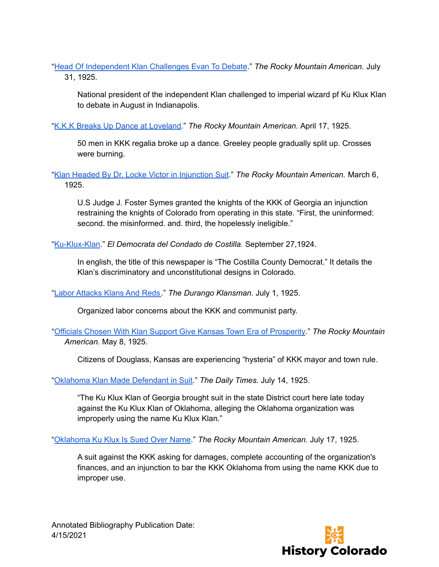"Head Of [Independent](https://www.coloradohistoricnewspapers.org/?a=d&d=RMA19250731-01.2.7&srpos=1&e=-01-1919--01-1930--en-20--1--img-txIN%7ctxCO%7ctxTA-Head+Of+Independent+Klan-------0------) Klan Challenges Evan To Debate." *The Rocky Mountain American.* July 31, 1925.

National president of the independent Klan challenged to imperial wizard pf Ku Klux Klan to debate in August in Indianapolis.

"K.K.K Breaks Up Dance at [Loveland.](https://www.coloradohistoricnewspapers.org/?a=d&d=RMA19250417-01.2.13&srpos=1&e=-01-1919--01-1930--en-20--1--img-txIN%7ctxCO%7ctxTA-Breaks+Up+Dance+at+Loveland-------0------)" *The Rocky Mountain American.* April 17, 1925.

50 men in KKK regalia broke up a dance. Greeley people gradually split up. Crosses were burning.

"Klan Headed By Dr. Locke Victor in [Injunction](https://www.coloradohistoricnewspapers.org/?a=d&d=RMA19250306-01.2.20&srpos=1&e=-01-1919--01-1930--en-20--1--img-txIN%7ctxCO%7ctxTA-Klan+Headed+By+Dr.+Locke+Victor+in+Injunction+Suit-------0------) Suit." *The Rocky Mountain American.* March 6, 1925.

U.S Judge J. Foster Symes granted the knights of the KKK of Georgia an injunction restraining the knights of Colorado from operating in this state. "First, the uninformed: second. the misinformed. and. third, the hopelessly ineligible."

"[Ku-Klux-Klan.](https://www.coloradohistoricnewspapers.org/?a=d&d=DDC19240927-01.2.2&dliv=none&e=-------en-20--1--img-txIN%7ctxCO%7ctxTA--------0------)" *El Democrata del Condado de Costilla.* September 27,1924.

In english, the title of this newspaper is "The Costilla County Democrat." It details the Klan's discriminatory and unconstitutional designs in Colorado.

"Labor [Attacks](https://www.coloradohistoricnewspapers.org/?a=d&d=DKM19250701-01.2.21&srpos=1&e=-01-1919--01-1930--en-20--1--img-txIN%7ctxCO%7ctxTA-Labor-------0------) Klans And Reds." *The Durango Klansman.* July 1, 1925.

Organized labor concerns about the KKK and communist party.

"Officials Chosen With Klan Support Give Kansas Town Era of [Prosperity](https://www.coloradohistoricnewspapers.org/?a=d&d=RMA19250508-01.2.16&srpos=1&e=-01-1919--01-1930--en-20--1--img-txIN%7ctxCO%7ctxTA-Officials+Chosen+With+Klan+Support+Give+Kansas+Town+Era+of+Prosperity+-------0------)." *The Rocky Mountain American.* May 8, 1925.

Citizens of Douglass, Kansas are experiencing "hysteria" of KKK mayor and town rule.

"Oklahoma Klan Made [Defendant](https://www.coloradohistoricnewspapers.org/?a=d&d=TDT19250714-01.2.21&srpos=1&e=-01-1919--01-1930--en-20--1--img-txIN%7ctxCO%7ctxTA-Oklahoma+Klan+Made+Defendant+in+Suit-------0------) in Suit." *The Daily Times.* July 14, 1925.

"The Ku Klux Klan of Georgia brought suit in the state District court here late today against the Ku Klux Klan of Oklahoma, alleging the Oklahoma organization was improperly using the name Ku Klux Klan."

"[Oklahoma](https://www.coloradohistoricnewspapers.org/?a=d&d=RMA19250717-01.2.26&srpos=1&e=-01-1919--01-1930--en-20--1--img-txIN%7ctxCO%7ctxTA-Oklahoma+Ku+Klux+Is+Sued+Over+Name+-------0------) Ku Klux Is Sued Over Name." *The Rocky Mountain American.* July 17, 1925.

A suit against the KKK asking for damages, complete accounting of the organization's finances, and an injunction to bar the KKK Oklahoma from using the name KKK due to improper use.